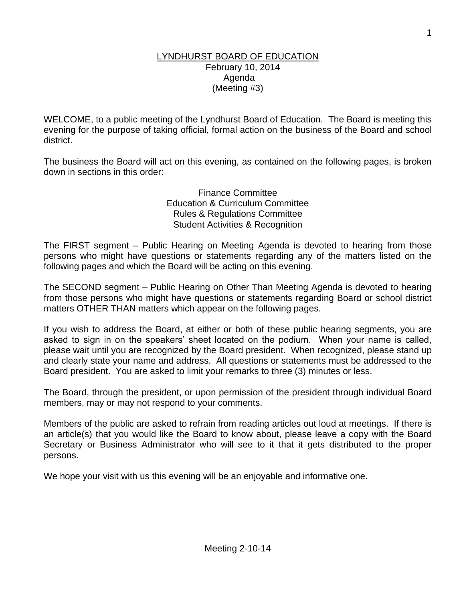### LYNDHURST BOARD OF EDUCATION February 10, 2014 Agenda (Meeting #3)

WELCOME, to a public meeting of the Lyndhurst Board of Education. The Board is meeting this evening for the purpose of taking official, formal action on the business of the Board and school district.

The business the Board will act on this evening, as contained on the following pages, is broken down in sections in this order:

> Finance Committee Education & Curriculum Committee Rules & Regulations Committee Student Activities & Recognition

The FIRST segment – Public Hearing on Meeting Agenda is devoted to hearing from those persons who might have questions or statements regarding any of the matters listed on the following pages and which the Board will be acting on this evening.

The SECOND segment – Public Hearing on Other Than Meeting Agenda is devoted to hearing from those persons who might have questions or statements regarding Board or school district matters OTHER THAN matters which appear on the following pages.

If you wish to address the Board, at either or both of these public hearing segments, you are asked to sign in on the speakers' sheet located on the podium. When your name is called, please wait until you are recognized by the Board president. When recognized, please stand up and clearly state your name and address. All questions or statements must be addressed to the Board president. You are asked to limit your remarks to three (3) minutes or less.

The Board, through the president, or upon permission of the president through individual Board members, may or may not respond to your comments.

Members of the public are asked to refrain from reading articles out loud at meetings. If there is an article(s) that you would like the Board to know about, please leave a copy with the Board Secretary or Business Administrator who will see to it that it gets distributed to the proper persons.

We hope your visit with us this evening will be an enjoyable and informative one.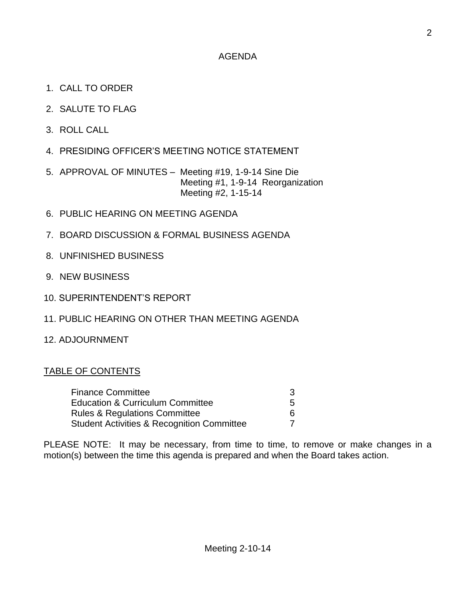## AGENDA

- 1. CALL TO ORDER
- 2. SALUTE TO FLAG
- 3. ROLL CALL
- 4. PRESIDING OFFICER'S MEETING NOTICE STATEMENT
- 5. APPROVAL OF MINUTES Meeting #19, 1-9-14 Sine Die Meeting #1, 1-9-14 Reorganization Meeting #2, 1-15-14
- 6. PUBLIC HEARING ON MEETING AGENDA
- 7. BOARD DISCUSSION & FORMAL BUSINESS AGENDA
- 8. UNFINISHED BUSINESS
- 9. NEW BUSINESS
- 10. SUPERINTENDENT'S REPORT
- 11. PUBLIC HEARING ON OTHER THAN MEETING AGENDA
- 12. ADJOURNMENT

### TABLE OF CONTENTS

| <b>Finance Committee</b>                    |   |
|---------------------------------------------|---|
| <b>Education &amp; Curriculum Committee</b> | 5 |
| <b>Rules &amp; Regulations Committee</b>    |   |
| Student Activities & Recognition Committee  |   |

PLEASE NOTE: It may be necessary, from time to time, to remove or make changes in a motion(s) between the time this agenda is prepared and when the Board takes action.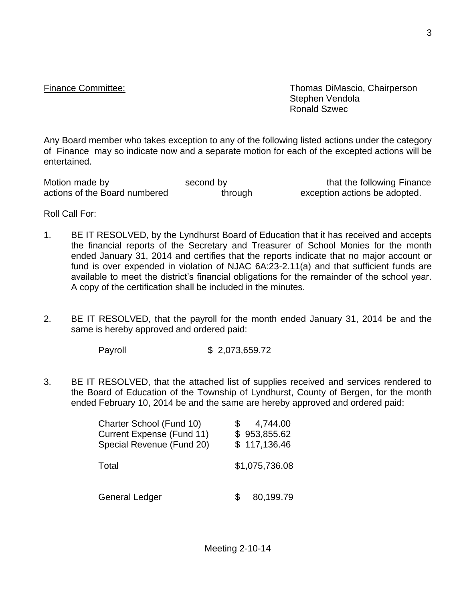Finance Committee: Thomas DiMascio, Chairperson Stephen Vendola Ronald Szwec

Any Board member who takes exception to any of the following listed actions under the category of Finance may so indicate now and a separate motion for each of the excepted actions will be entertained.

Motion made by second by second by that the following Finance<br>actions of the Board numbered through exception actions be adopted. actions of the Board numbered through exception actions be adopted.

Roll Call For:

- 1. BE IT RESOLVED, by the Lyndhurst Board of Education that it has received and accepts the financial reports of the Secretary and Treasurer of School Monies for the month ended January 31, 2014 and certifies that the reports indicate that no major account or fund is over expended in violation of NJAC 6A:23-2.11(a) and that sufficient funds are available to meet the district's financial obligations for the remainder of the school year. A copy of the certification shall be included in the minutes.
- 2. BE IT RESOLVED, that the payroll for the month ended January 31, 2014 be and the same is hereby approved and ordered paid:

Payroll \$ 2,073,659.72

3. BE IT RESOLVED, that the attached list of supplies received and services rendered to the Board of Education of the Township of Lyndhurst, County of Bergen, for the month ended February 10, 2014 be and the same are hereby approved and ordered paid:

| Charter School (Fund 10)  | 4,744.00       |
|---------------------------|----------------|
| Current Expense (Fund 11) | \$953,855.62   |
| Special Revenue (Fund 20) | \$117,136.46   |
| Total                     | \$1,075,736.08 |
| General Ledger            | 80,199.79      |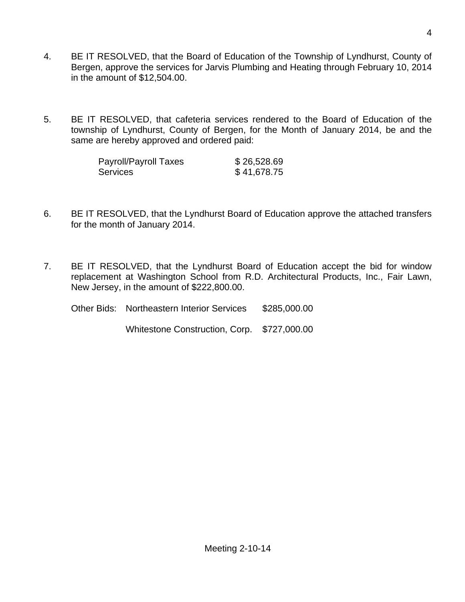- 4. BE IT RESOLVED, that the Board of Education of the Township of Lyndhurst, County of Bergen, approve the services for Jarvis Plumbing and Heating through February 10, 2014 in the amount of \$12,504.00.
- 5. BE IT RESOLVED, that cafeteria services rendered to the Board of Education of the township of Lyndhurst, County of Bergen, for the Month of January 2014, be and the same are hereby approved and ordered paid:

| Payroll/Payroll Taxes | \$26,528.69 |
|-----------------------|-------------|
| Services              | \$41,678.75 |

- 6. BE IT RESOLVED, that the Lyndhurst Board of Education approve the attached transfers for the month of January 2014.
- 7. BE IT RESOLVED, that the Lyndhurst Board of Education accept the bid for window replacement at Washington School from R.D. Architectural Products, Inc., Fair Lawn, New Jersey, in the amount of \$222,800.00.

| <b>Other Bids: Northeastern Interior Services</b> | \$285,000.00 |
|---------------------------------------------------|--------------|
| Whitestone Construction, Corp. \$727,000.00       |              |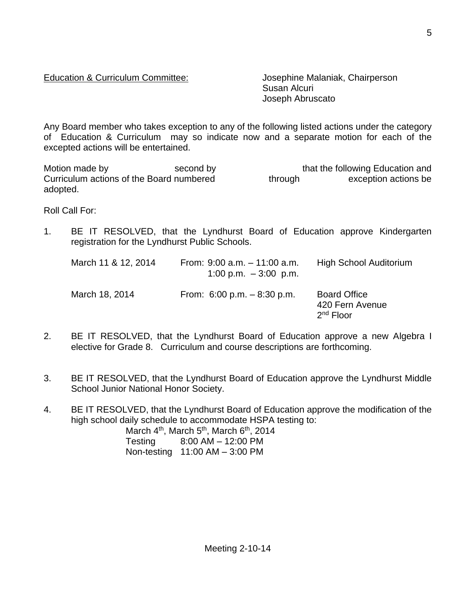# Education & Curriculum Committee: Josephine Malaniak, Chairperson

Susan Alcuri Joseph Abruscato

Any Board member who takes exception to any of the following listed actions under the category of Education & Curriculum may so indicate now and a separate motion for each of the excepted actions will be entertained.

Motion made by second by second by that the following Education and<br>Curriculum actions of the Board numbered through exception actions be Curriculum actions of the Board numbered through exception actions be adopted.

Roll Call For:

1. BE IT RESOLVED, that the Lyndhurst Board of Education approve Kindergarten registration for the Lyndhurst Public Schools.

| March 11 & 12, 2014 | From: $9:00$ a.m. $-11:00$ a.m.<br>1:00 p.m. $-3:00$ p.m. | <b>High School Auditorium</b>                         |
|---------------------|-----------------------------------------------------------|-------------------------------------------------------|
| March 18, 2014      | From: $6:00$ p.m. $-8:30$ p.m.                            | <b>Board Office</b><br>420 Fern Avenue<br>$2nd$ Floor |

- 2. BE IT RESOLVED, that the Lyndhurst Board of Education approve a new Algebra I elective for Grade 8. Curriculum and course descriptions are forthcoming.
- 3. BE IT RESOLVED, that the Lyndhurst Board of Education approve the Lyndhurst Middle School Junior National Honor Society.
- 4. BE IT RESOLVED, that the Lyndhurst Board of Education approve the modification of the high school daily schedule to accommodate HSPA testing to:

March  $4<sup>th</sup>$ , March  $5<sup>th</sup>$ , March  $6<sup>th</sup>$ , 2014 Testing 8:00 AM – 12:00 PM Non-testing 11:00 AM – 3:00 PM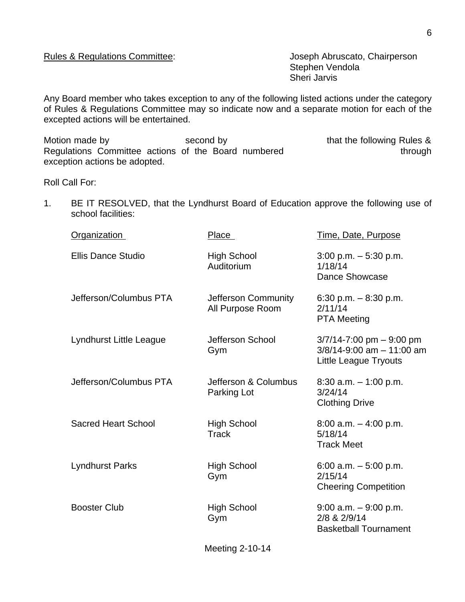Stephen Vendola Sheri Jarvis

Any Board member who takes exception to any of the following listed actions under the category of Rules & Regulations Committee may so indicate now and a separate motion for each of the excepted actions will be entertained.

Motion made by Second by Second by that the following Rules & Regulations Committee actions of the Board numbered through exception actions be adopted.

Roll Call For:

1. BE IT RESOLVED, that the Lyndhurst Board of Education approve the following use of school facilities:

| <b>Organization</b>        | Place                                   | Time, Date, Purpose                                                                              |
|----------------------------|-----------------------------------------|--------------------------------------------------------------------------------------------------|
| <b>Ellis Dance Studio</b>  | <b>High School</b><br>Auditorium        | $3:00$ p.m. $-5:30$ p.m.<br>1/18/14<br>Dance Showcase                                            |
| Jefferson/Columbus PTA     | Jefferson Community<br>All Purpose Room | 6:30 p.m. $-8:30$ p.m.<br>2/11/14<br><b>PTA Meeting</b>                                          |
| Lyndhurst Little League    | Jefferson School<br>Gym                 | $3/7/14 - 7:00$ pm $-9:00$ pm<br>$3/8/14 - 9:00$ am $- 11:00$ am<br><b>Little League Tryouts</b> |
| Jefferson/Columbus PTA     | Jefferson & Columbus<br>Parking Lot     | 8:30 a.m. $-$ 1:00 p.m.<br>3/24/14<br><b>Clothing Drive</b>                                      |
| <b>Sacred Heart School</b> | <b>High School</b><br>Track             | $8:00$ a.m. $-4:00$ p.m.<br>5/18/14<br><b>Track Meet</b>                                         |
| <b>Lyndhurst Parks</b>     | <b>High School</b><br>Gym               | 6:00 a.m. $-5:00$ p.m.<br>2/15/14<br><b>Cheering Competition</b>                                 |
| <b>Booster Club</b>        | <b>High School</b><br>Gym               | $9:00$ a.m. $-9:00$ p.m.<br>2/8 & 2/9/14<br><b>Basketball Tournament</b>                         |
|                            |                                         |                                                                                                  |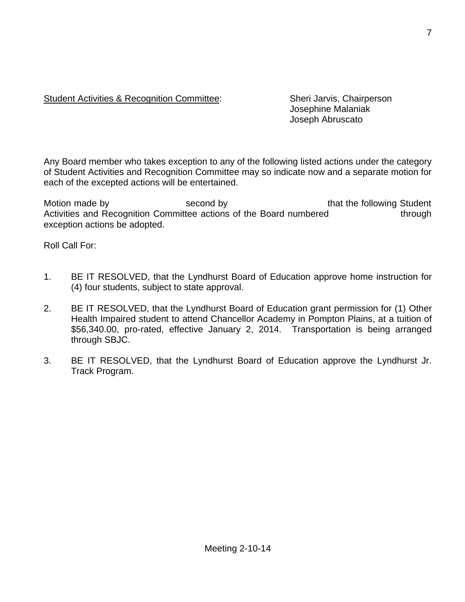## Student Activities & Recognition Committee: Sheri Jarvis, Chairperson

Josephine Malaniak Joseph Abruscato

Any Board member who takes exception to any of the following listed actions under the category of Student Activities and Recognition Committee may so indicate now and a separate motion for each of the excepted actions will be entertained.

Motion made by The Second by Second by that the following Student Activities and Recognition Committee actions of the Board numbered through exception actions be adopted.

Roll Call For:

- 1. BE IT RESOLVED, that the Lyndhurst Board of Education approve home instruction for (4) four students, subject to state approval.
- 2. BE IT RESOLVED, that the Lyndhurst Board of Education grant permission for (1) Other Health Impaired student to attend Chancellor Academy in Pompton Plains, at a tuition of \$56,340.00, pro-rated, effective January 2, 2014. Transportation is being arranged through SBJC.
- 3. BE IT RESOLVED, that the Lyndhurst Board of Education approve the Lyndhurst Jr. Track Program.